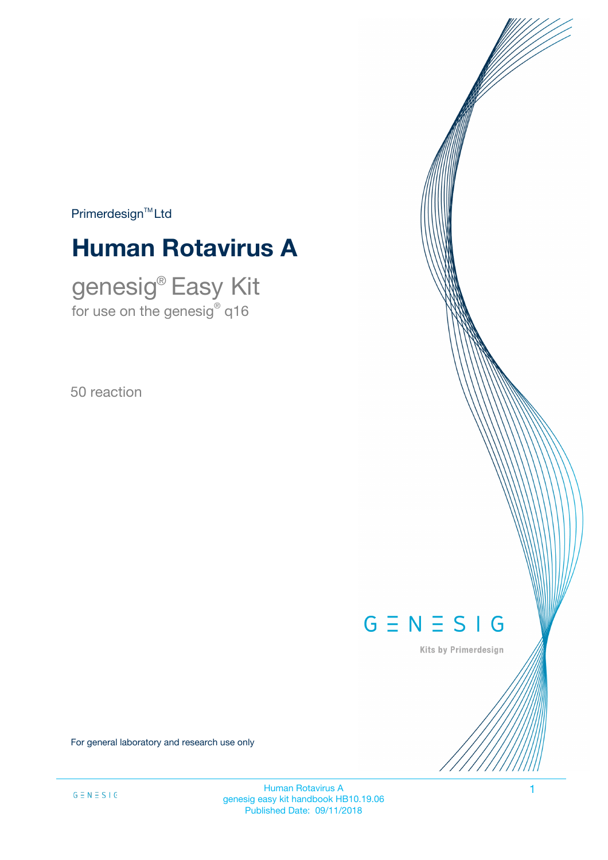$Primerdesign<sup>™</sup>Ltd$ 

# **Human Rotavirus A**

genesig® Easy Kit for use on the genesig $^\circ$  q16

50 reaction



Kits by Primerdesign

For general laboratory and research use only

Human Rotavirus A 1 genesig easy kit handbook HB10.19.06 Published Date: 09/11/2018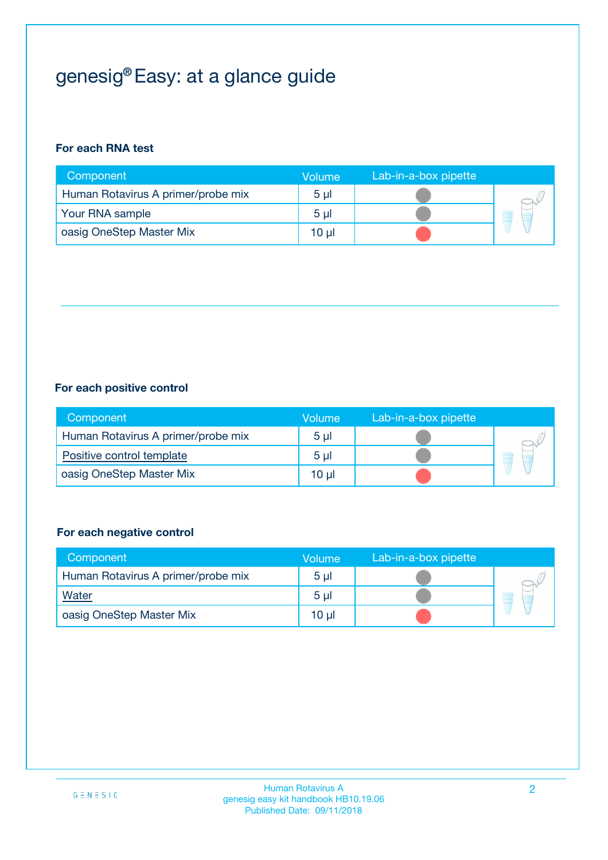# genesig® Easy: at a glance guide

### **For each RNA test**

| Component                          | Volume         | Lab-in-a-box pipette |  |
|------------------------------------|----------------|----------------------|--|
| Human Rotavirus A primer/probe mix | 5 <sub>µ</sub> |                      |  |
| Your RNA sample                    | 5 <sub>µ</sub> |                      |  |
| oasig OneStep Master Mix           | 10 µl          |                      |  |

#### **For each positive control**

| Component                          | Volume         | Lab-in-a-box pipette |  |
|------------------------------------|----------------|----------------------|--|
| Human Rotavirus A primer/probe mix | 5 <sub>µ</sub> |                      |  |
| Positive control template          | 5 <sub>µ</sub> |                      |  |
| oasig OneStep Master Mix           | 10 µl          |                      |  |

#### **For each negative control**

| Component                          | <b>Volume</b>  | Lab-in-a-box pipette |  |
|------------------------------------|----------------|----------------------|--|
| Human Rotavirus A primer/probe mix | 5 <sub>µ</sub> |                      |  |
| Water                              | 5 <sub>µ</sub> |                      |  |
| oasig OneStep Master Mix           | 10 µl          |                      |  |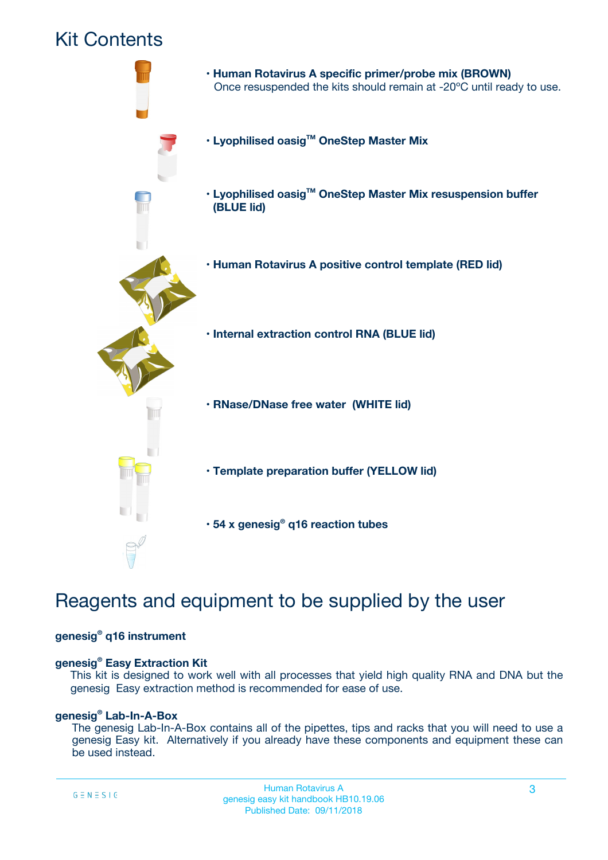## Kit Contents



## Reagents and equipment to be supplied by the user

#### **genesig® q16 instrument**

#### **genesig® Easy Extraction Kit**

This kit is designed to work well with all processes that yield high quality RNA and DNA but the genesig Easy extraction method is recommended for ease of use.

#### **genesig® Lab-In-A-Box**

The genesig Lab-In-A-Box contains all of the pipettes, tips and racks that you will need to use a genesig Easy kit. Alternatively if you already have these components and equipment these can be used instead.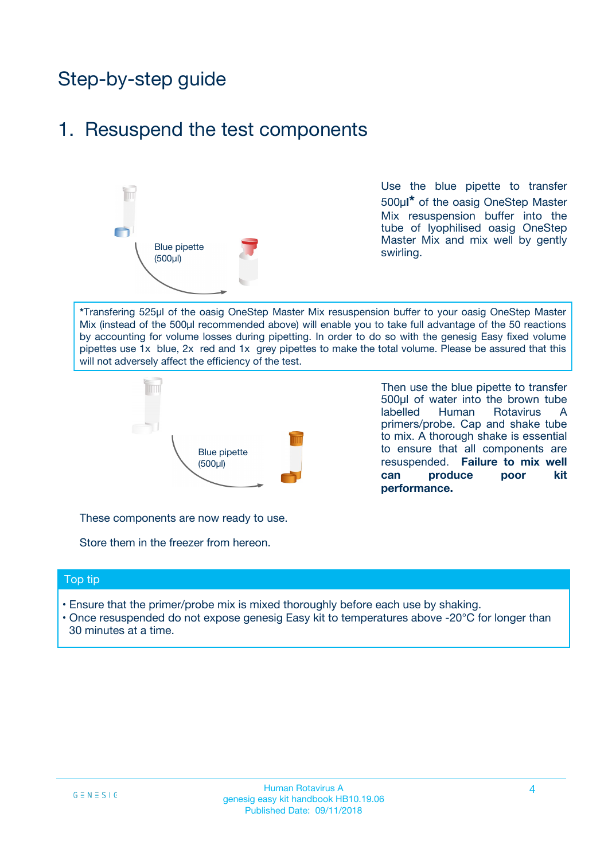## Step-by-step guide

### 1. Resuspend the test components



Use the blue pipette to transfer 500µ**l\*** of the oasig OneStep Master Mix resuspension buffer into the tube of lyophilised oasig OneStep Master Mix and mix well by gently swirling.

**\***Transfering 525µl of the oasig OneStep Master Mix resuspension buffer to your oasig OneStep Master Mix (instead of the 500µl recommended above) will enable you to take full advantage of the 50 reactions by accounting for volume losses during pipetting. In order to do so with the genesig Easy fixed volume pipettes use 1x blue, 2x red and 1x grey pipettes to make the total volume. Please be assured that this will not adversely affect the efficiency of the test.



Then use the blue pipette to transfer 500µl of water into the brown tube labelled Human Rotavirus A primers/probe. Cap and shake tube to mix. A thorough shake is essential to ensure that all components are resuspended. **Failure to mix well can produce poor kit performance.**

These components are now ready to use.

Store them in the freezer from hereon.

#### Top tip

- Ensure that the primer/probe mix is mixed thoroughly before each use by shaking.
- Once resuspended do not expose genesig Easy kit to temperatures above -20°C for longer than 30 minutes at a time.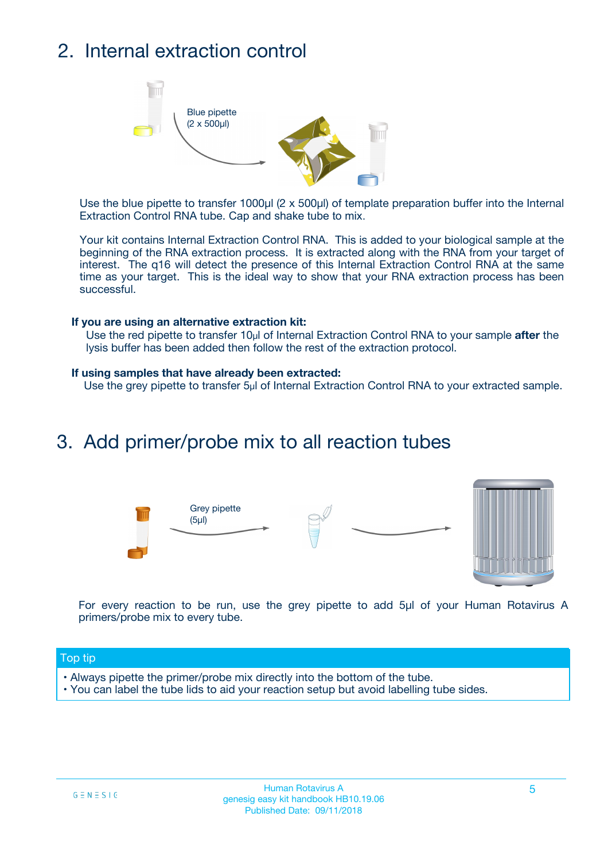## 2. Internal extraction control



Use the blue pipette to transfer 1000µl (2 x 500µl) of template preparation buffer into the Internal Extraction Control RNA tube. Cap and shake tube to mix.

Your kit contains Internal Extraction Control RNA. This is added to your biological sample at the beginning of the RNA extraction process. It is extracted along with the RNA from your target of interest. The q16 will detect the presence of this Internal Extraction Control RNA at the same time as your target. This is the ideal way to show that your RNA extraction process has been successful.

#### **If you are using an alternative extraction kit:**

Use the red pipette to transfer 10µl of Internal Extraction Control RNA to your sample **after** the lysis buffer has been added then follow the rest of the extraction protocol.

#### **If using samples that have already been extracted:**

Use the grey pipette to transfer 5µl of Internal Extraction Control RNA to your extracted sample.

### 3. Add primer/probe mix to all reaction tubes



For every reaction to be run, use the grey pipette to add 5µl of your Human Rotavirus A primers/probe mix to every tube.

#### Top tip

- Always pipette the primer/probe mix directly into the bottom of the tube.
- You can label the tube lids to aid your reaction setup but avoid labelling tube sides.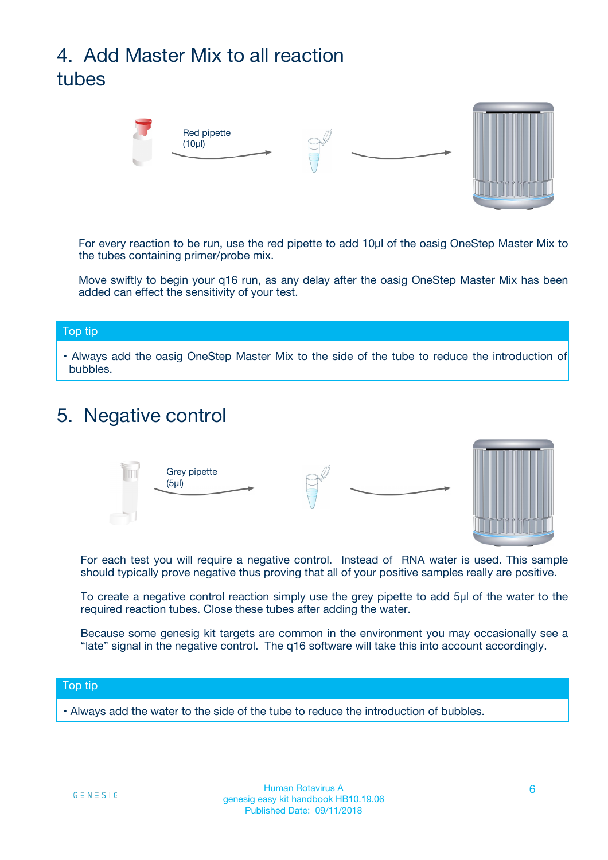# 4. Add Master Mix to all reaction tubes



For every reaction to be run, use the red pipette to add 10µl of the oasig OneStep Master Mix to the tubes containing primer/probe mix.

Move swiftly to begin your q16 run, as any delay after the oasig OneStep Master Mix has been added can effect the sensitivity of your test.

#### Top tip

**•** Always add the oasig OneStep Master Mix to the side of the tube to reduce the introduction of bubbles.

### 5. Negative control



For each test you will require a negative control. Instead of RNA water is used. This sample should typically prove negative thus proving that all of your positive samples really are positive.

To create a negative control reaction simply use the grey pipette to add 5µl of the water to the required reaction tubes. Close these tubes after adding the water.

Because some genesig kit targets are common in the environment you may occasionally see a "late" signal in the negative control. The q16 software will take this into account accordingly.

#### Top tip

**•** Always add the water to the side of the tube to reduce the introduction of bubbles.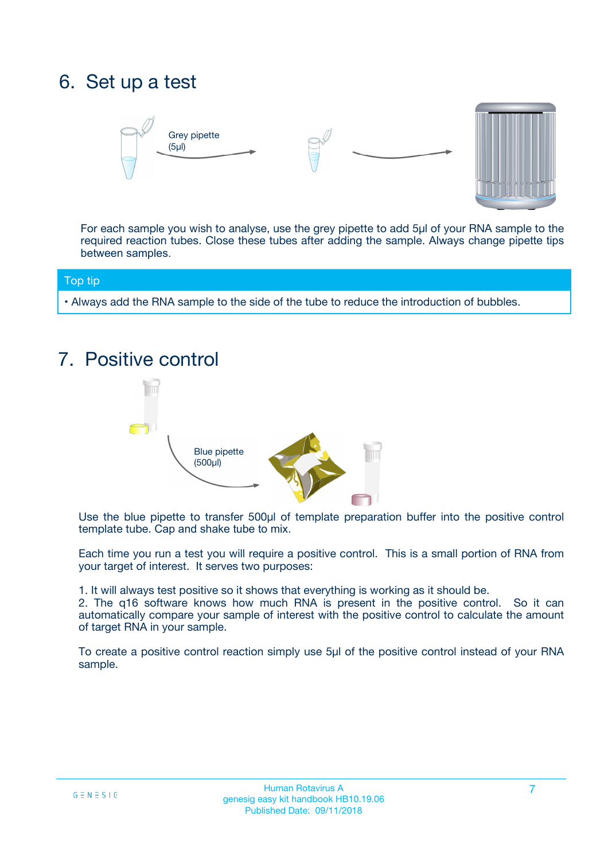## 6. Set up a test





For each sample you wish to analyse, use the grey pipette to add 5µl of your RNA sample to the required reaction tubes. Close these tubes after adding the sample. Always change pipette tips between samples.

#### Top tip

**•** Always add the RNA sample to the side of the tube to reduce the introduction of bubbles.

## 7. Positive control



Use the blue pipette to transfer 500µl of template preparation buffer into the positive control template tube. Cap and shake tube to mix.

Each time you run a test you will require a positive control. This is a small portion of RNA from your target of interest. It serves two purposes:

1. It will always test positive so it shows that everything is working as it should be.

2. The q16 software knows how much RNA is present in the positive control. So it can automatically compare your sample of interest with the positive control to calculate the amount of target RNA in your sample.

To create a positive control reaction simply use 5µl of the positive control instead of your RNA sample.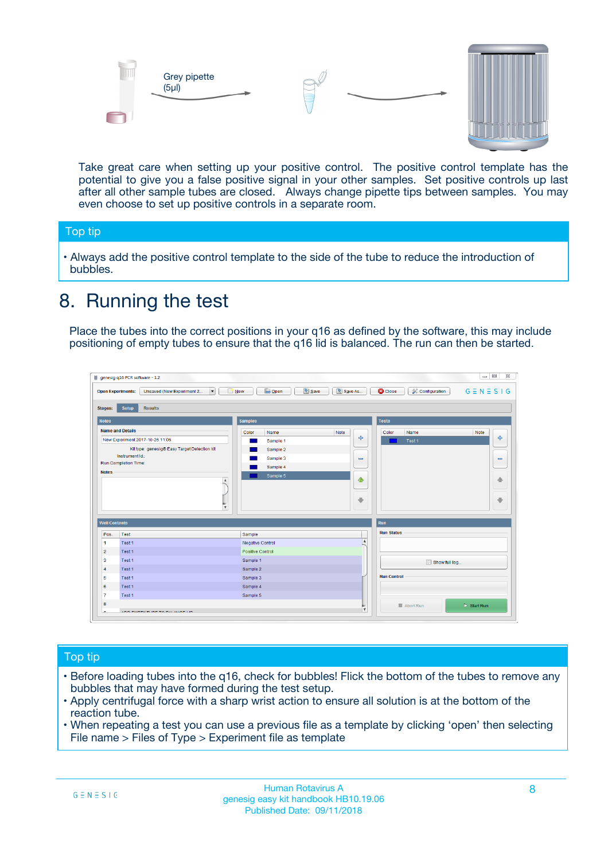



Take great care when setting up your positive control. The positive control template has the potential to give you a false positive signal in your other samples. Set positive controls up last after all other sample tubes are closed. Always change pipette tips between samples. You may even choose to set up positive controls in a separate room.

#### Top tip

**•** Always add the positive control template to the side of the tube to reduce the introduction of bubbles.

## 8. Running the test

Place the tubes into the correct positions in your q16 as defined by the software, this may include positioning of empty tubes to ensure that the q16 lid is balanced. The run can then be started.

|                                                | Unsaved (New Experiment 2<br><b>Open Experiments:</b><br>$\overline{\phantom{a}}$ | <b>E</b> Open<br>Save<br>$\Box$ New | Save As          | <b>C</b> Close<br>Configuration | $G \equiv N \equiv S \mid G$ |
|------------------------------------------------|-----------------------------------------------------------------------------------|-------------------------------------|------------------|---------------------------------|------------------------------|
| <b>Stages:</b>                                 | Setup<br><b>Results</b>                                                           |                                     |                  |                                 |                              |
| <b>Notes</b>                                   |                                                                                   | <b>Samples</b>                      |                  | <b>Tests</b>                    |                              |
|                                                | <b>Name and Details</b>                                                           | Color<br>Name                       | Note             | Color<br>Name                   | Note                         |
|                                                | New Experiment 2017-10-26 11:06                                                   | Sample 1                            | 4                | Test 1                          | 4                            |
|                                                | Kit type: genesig® Easy Target Detection kit                                      | Sample 2                            |                  |                                 |                              |
|                                                | Instrument Id.:                                                                   | Sample 3                            | $\equiv$         |                                 | $\equiv$                     |
|                                                | <b>Run Completion Time:</b>                                                       | Sample 4                            |                  |                                 |                              |
| <b>Notes</b>                                   | $\blacktriangle$                                                                  | Sample 5                            | ♦                |                                 | 傦                            |
|                                                |                                                                                   |                                     |                  |                                 |                              |
|                                                | $\overline{\mathbf{v}}$                                                           |                                     | ÷                |                                 |                              |
| <b>Well Contents</b>                           |                                                                                   |                                     |                  | Run                             | ⊕                            |
|                                                | Test                                                                              | Sample                              |                  | <b>Run Status</b>               |                              |
|                                                | Test 1                                                                            | Negative Control                    | $\blacktriangle$ |                                 |                              |
| Pos.<br>$\blacktriangleleft$<br>$\overline{2}$ | Test 1                                                                            | Positive Control                    |                  |                                 |                              |
| 3                                              | Test 1                                                                            | Sample 1                            |                  |                                 |                              |
|                                                | Test 1                                                                            | Sample 2                            |                  | Show full log                   |                              |
| $\overline{4}$<br>5                            | Test 1                                                                            | Sample 3                            |                  | <b>Run Control</b>              |                              |
|                                                | Test 1                                                                            | Sample 4                            |                  |                                 |                              |
| 6<br>$\overline{7}$                            | Test 1                                                                            | Sample 5                            |                  |                                 |                              |

#### Top tip

- Before loading tubes into the q16, check for bubbles! Flick the bottom of the tubes to remove any bubbles that may have formed during the test setup.
- Apply centrifugal force with a sharp wrist action to ensure all solution is at the bottom of the reaction tube.
- When repeating a test you can use a previous file as a template by clicking 'open' then selecting File name > Files of Type > Experiment file as template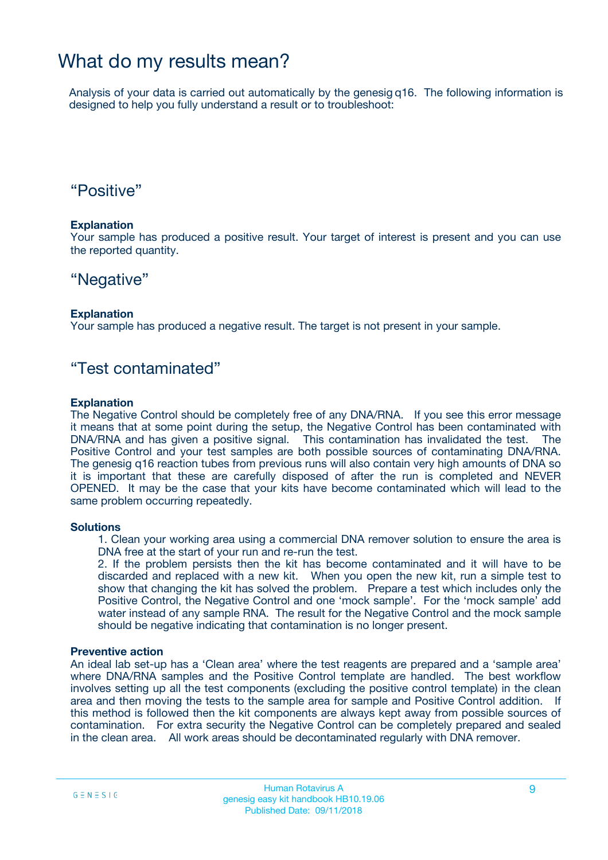### What do my results mean?

Analysis of your data is carried out automatically by the genesig q16. The following information is designed to help you fully understand a result or to troubleshoot:

### "Positive"

#### **Explanation**

Your sample has produced a positive result. Your target of interest is present and you can use the reported quantity.

### "Negative"

#### **Explanation**

Your sample has produced a negative result. The target is not present in your sample.

### "Test contaminated"

#### **Explanation**

The Negative Control should be completely free of any DNA/RNA. If you see this error message it means that at some point during the setup, the Negative Control has been contaminated with DNA/RNA and has given a positive signal. This contamination has invalidated the test. The Positive Control and your test samples are both possible sources of contaminating DNA/RNA. The genesig q16 reaction tubes from previous runs will also contain very high amounts of DNA so it is important that these are carefully disposed of after the run is completed and NEVER OPENED. It may be the case that your kits have become contaminated which will lead to the same problem occurring repeatedly.

#### **Solutions**

1. Clean your working area using a commercial DNA remover solution to ensure the area is DNA free at the start of your run and re-run the test.

2. If the problem persists then the kit has become contaminated and it will have to be discarded and replaced with a new kit. When you open the new kit, run a simple test to show that changing the kit has solved the problem. Prepare a test which includes only the Positive Control, the Negative Control and one 'mock sample'. For the 'mock sample' add water instead of any sample RNA. The result for the Negative Control and the mock sample should be negative indicating that contamination is no longer present.

#### **Preventive action**

An ideal lab set-up has a 'Clean area' where the test reagents are prepared and a 'sample area' where DNA/RNA samples and the Positive Control template are handled. The best workflow involves setting up all the test components (excluding the positive control template) in the clean area and then moving the tests to the sample area for sample and Positive Control addition. If this method is followed then the kit components are always kept away from possible sources of contamination. For extra security the Negative Control can be completely prepared and sealed in the clean area. All work areas should be decontaminated regularly with DNA remover.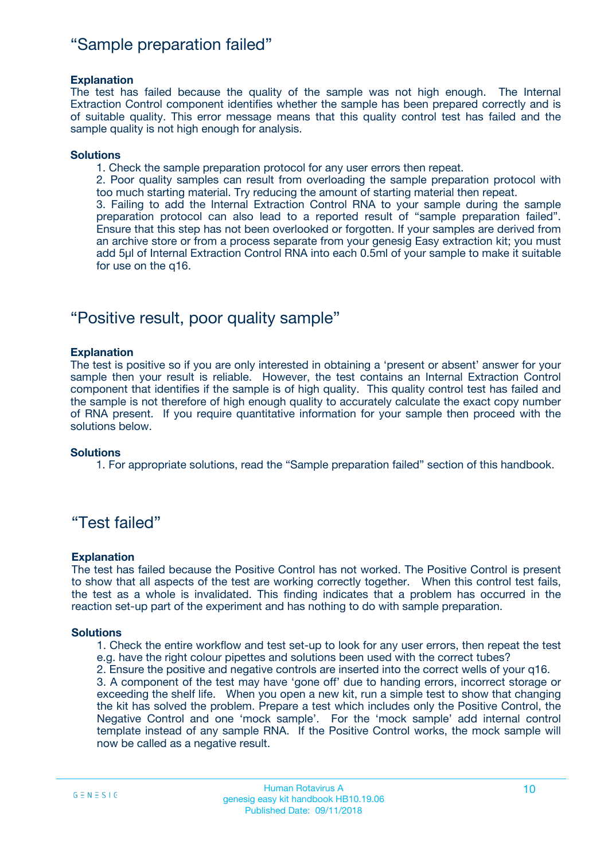### "Sample preparation failed"

#### **Explanation**

The test has failed because the quality of the sample was not high enough. The Internal Extraction Control component identifies whether the sample has been prepared correctly and is of suitable quality. This error message means that this quality control test has failed and the sample quality is not high enough for analysis.

#### **Solutions**

1. Check the sample preparation protocol for any user errors then repeat.

2. Poor quality samples can result from overloading the sample preparation protocol with too much starting material. Try reducing the amount of starting material then repeat.

3. Failing to add the Internal Extraction Control RNA to your sample during the sample preparation protocol can also lead to a reported result of "sample preparation failed". Ensure that this step has not been overlooked or forgotten. If your samples are derived from an archive store or from a process separate from your genesig Easy extraction kit; you must add 5µl of Internal Extraction Control RNA into each 0.5ml of your sample to make it suitable for use on the q16.

### "Positive result, poor quality sample"

#### **Explanation**

The test is positive so if you are only interested in obtaining a 'present or absent' answer for your sample then your result is reliable. However, the test contains an Internal Extraction Control component that identifies if the sample is of high quality. This quality control test has failed and the sample is not therefore of high enough quality to accurately calculate the exact copy number of RNA present. If you require quantitative information for your sample then proceed with the solutions below.

#### **Solutions**

1. For appropriate solutions, read the "Sample preparation failed" section of this handbook.

### "Test failed"

#### **Explanation**

The test has failed because the Positive Control has not worked. The Positive Control is present to show that all aspects of the test are working correctly together. When this control test fails, the test as a whole is invalidated. This finding indicates that a problem has occurred in the reaction set-up part of the experiment and has nothing to do with sample preparation.

#### **Solutions**

- 1. Check the entire workflow and test set-up to look for any user errors, then repeat the test e.g. have the right colour pipettes and solutions been used with the correct tubes?
- 2. Ensure the positive and negative controls are inserted into the correct wells of your q16.

3. A component of the test may have 'gone off' due to handing errors, incorrect storage or exceeding the shelf life. When you open a new kit, run a simple test to show that changing the kit has solved the problem. Prepare a test which includes only the Positive Control, the Negative Control and one 'mock sample'. For the 'mock sample' add internal control template instead of any sample RNA. If the Positive Control works, the mock sample will now be called as a negative result.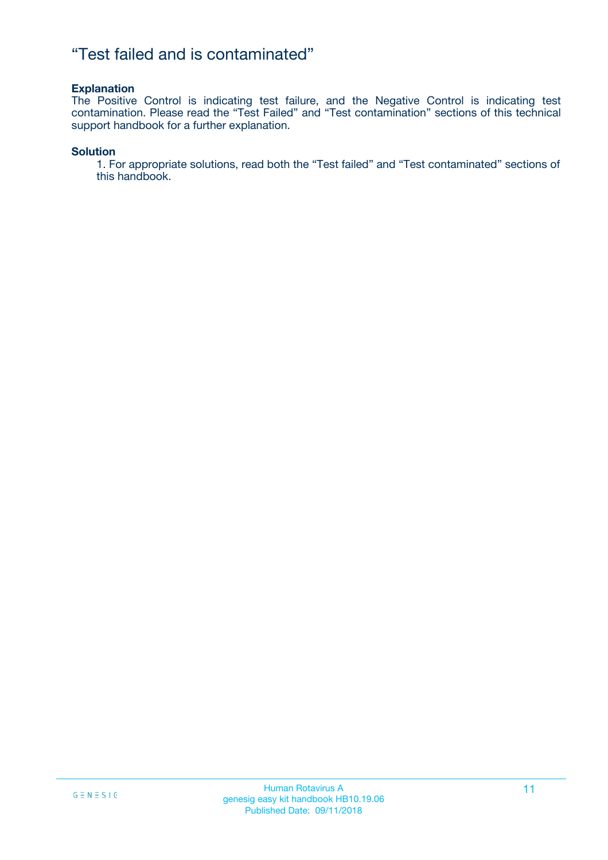### "Test failed and is contaminated"

#### **Explanation**

The Positive Control is indicating test failure, and the Negative Control is indicating test contamination. Please read the "Test Failed" and "Test contamination" sections of this technical support handbook for a further explanation.

#### **Solution**

1. For appropriate solutions, read both the "Test failed" and "Test contaminated" sections of this handbook.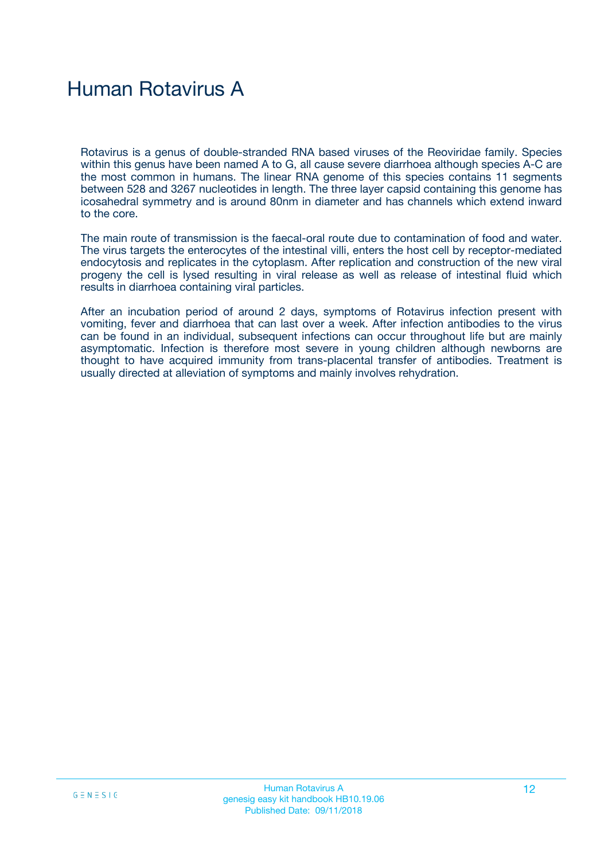# Human Rotavirus A

Rotavirus is a genus of double-stranded RNA based viruses of the Reoviridae family. Species within this genus have been named A to G, all cause severe diarrhoea although species A-C are the most common in humans. The linear RNA genome of this species contains 11 segments between 528 and 3267 nucleotides in length. The three layer capsid containing this genome has icosahedral symmetry and is around 80nm in diameter and has channels which extend inward to the core.

The main route of transmission is the faecal-oral route due to contamination of food and water. The virus targets the enterocytes of the intestinal villi, enters the host cell by receptor-mediated endocytosis and replicates in the cytoplasm. After replication and construction of the new viral progeny the cell is lysed resulting in viral release as well as release of intestinal fluid which results in diarrhoea containing viral particles.

After an incubation period of around 2 days, symptoms of Rotavirus infection present with vomiting, fever and diarrhoea that can last over a week. After infection antibodies to the virus can be found in an individual, subsequent infections can occur throughout life but are mainly asymptomatic. Infection is therefore most severe in young children although newborns are thought to have acquired immunity from trans-placental transfer of antibodies. Treatment is usually directed at alleviation of symptoms and mainly involves rehydration.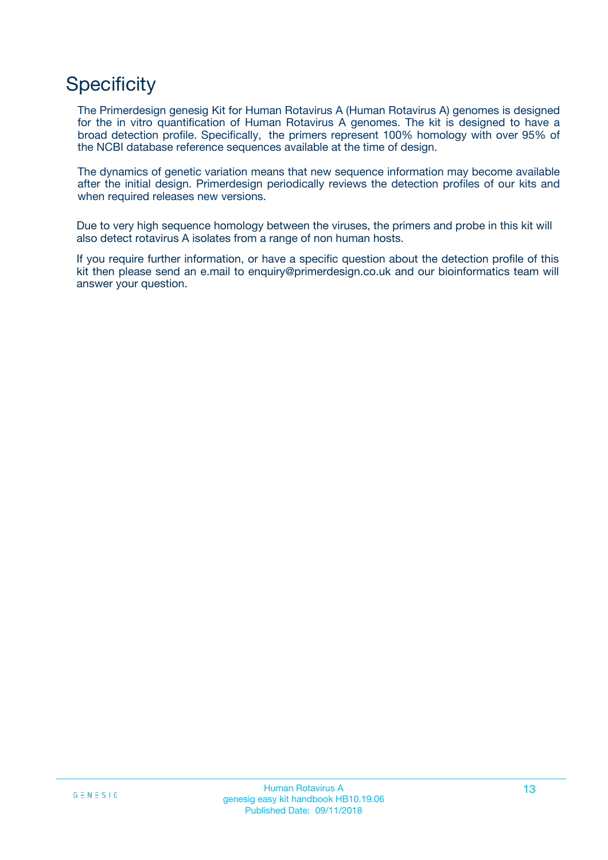## **Specificity**

The Primerdesign genesig Kit for Human Rotavirus A (Human Rotavirus A) genomes is designed for the in vitro quantification of Human Rotavirus A genomes. The kit is designed to have a broad detection profile. Specifically, the primers represent 100% homology with over 95% of the NCBI database reference sequences available at the time of design.

The dynamics of genetic variation means that new sequence information may become available after the initial design. Primerdesign periodically reviews the detection profiles of our kits and when required releases new versions.

Due to very high sequence homology between the viruses, the primers and probe in this kit will also detect rotavirus A isolates from a range of non human hosts.

If you require further information, or have a specific question about the detection profile of this kit then please send an e.mail to enquiry@primerdesign.co.uk and our bioinformatics team will answer your question.